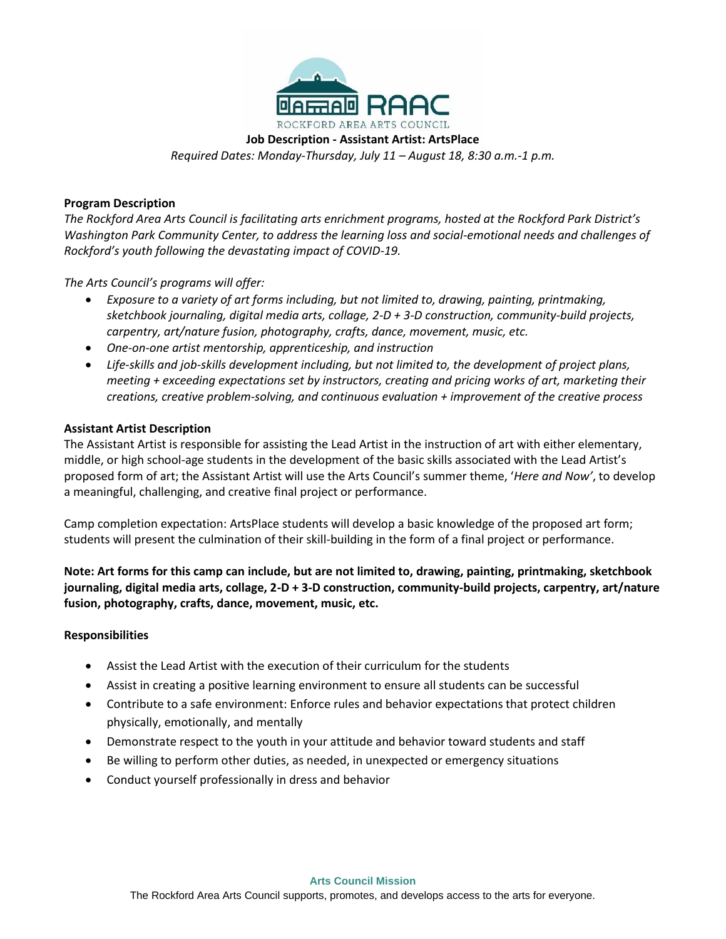

**Job Description - Assistant Artist: ArtsPlace**

*Required Dates: Monday-Thursday, July 11 – August 18, 8:30 a.m.-1 p.m.*

## **Program Description**

*The Rockford Area Arts Council is facilitating arts enrichment programs, hosted at the Rockford Park District's Washington Park Community Center, to address the learning loss and social-emotional needs and challenges of Rockford's youth following the devastating impact of COVID-19.*

*The Arts Council's programs will offer:*

- *Exposure to a variety of art forms including, but not limited to, drawing, painting, printmaking, sketchbook journaling, digital media arts, collage, 2-D + 3-D construction, community-build projects, carpentry, art/nature fusion, photography, crafts, dance, movement, music, etc.*
- *One-on-one artist mentorship, apprenticeship, and instruction*
- *Life-skills and job-skills development including, but not limited to, the development of project plans, meeting + exceeding expectations set by instructors, creating and pricing works of art, marketing their creations, creative problem-solving, and continuous evaluation + improvement of the creative process*

## **Assistant Artist Description**

The Assistant Artist is responsible for assisting the Lead Artist in the instruction of art with either elementary, middle, or high school-age students in the development of the basic skills associated with the Lead Artist's proposed form of art; the Assistant Artist will use the Arts Council's summer theme, '*Here and Now'*, to develop a meaningful, challenging, and creative final project or performance.

Camp completion expectation: ArtsPlace students will develop a basic knowledge of the proposed art form; students will present the culmination of their skill-building in the form of a final project or performance.

**Note: Art forms for this camp can include, but are not limited to, drawing, painting, printmaking, sketchbook journaling, digital media arts, collage, 2-D + 3-D construction, community-build projects, carpentry, art/nature fusion, photography, crafts, dance, movement, music, etc.**

## **Responsibilities**

- Assist the Lead Artist with the execution of their curriculum for the students
- Assist in creating a positive learning environment to ensure all students can be successful
- Contribute to a safe environment: Enforce rules and behavior expectations that protect children physically, emotionally, and mentally
- Demonstrate respect to the youth in your attitude and behavior toward students and staff
- Be willing to perform other duties, as needed, in unexpected or emergency situations
- Conduct yourself professionally in dress and behavior